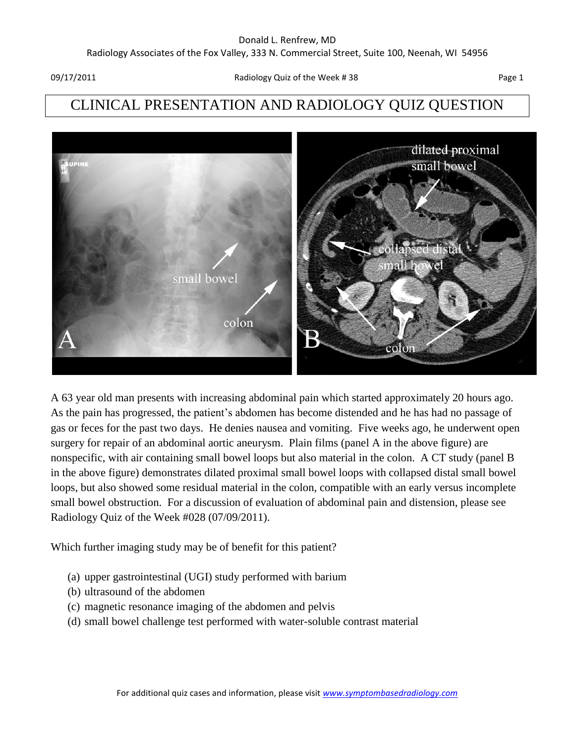# CLINICAL PRESENTATION AND RADIOLOGY QUIZ QUESTION



A 63 year old man presents with increasing abdominal pain which started approximately 20 hours ago. As the pain has progressed, the patient's abdomen has become distended and he has had no passage of gas or feces for the past two days. He denies nausea and vomiting. Five weeks ago, he underwent open surgery for repair of an abdominal aortic aneurysm. Plain films (panel A in the above figure) are nonspecific, with air containing small bowel loops but also material in the colon. A CT study (panel B in the above figure) demonstrates dilated proximal small bowel loops with collapsed distal small bowel loops, but also showed some residual material in the colon, compatible with an early versus incomplete small bowel obstruction. For a discussion of evaluation of abdominal pain and distension, please see Radiology Quiz of the Week #028 (07/09/2011).

Which further imaging study may be of benefit for this patient?

- (a) upper gastrointestinal (UGI) study performed with barium
- (b) ultrasound of the abdomen
- (c) magnetic resonance imaging of the abdomen and pelvis
- (d) small bowel challenge test performed with water-soluble contrast material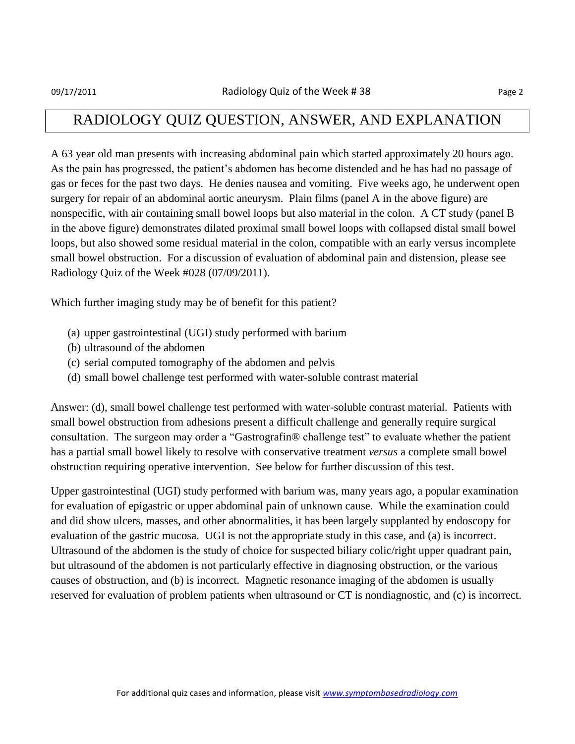#### RADIOLOGY QUIZ QUESTION, ANSWER, AND EXPLANATION

A 63 year old man presents with increasing abdominal pain which started approximately 20 hours ago. As the pain has progressed, the patient's abdomen has become distended and he has had no passage of gas or feces for the past two days. He denies nausea and vomiting. Five weeks ago, he underwent open surgery for repair of an abdominal aortic aneurysm. Plain films (panel A in the above figure) are nonspecific, with air containing small bowel loops but also material in the colon. A CT study (panel B in the above figure) demonstrates dilated proximal small bowel loops with collapsed distal small bowel loops, but also showed some residual material in the colon, compatible with an early versus incomplete small bowel obstruction. For a discussion of evaluation of abdominal pain and distension, please see Radiology Quiz of the Week #028 (07/09/2011).

Which further imaging study may be of benefit for this patient?

- (a) upper gastrointestinal (UGI) study performed with barium
- (b) ultrasound of the abdomen
- (c) serial computed tomography of the abdomen and pelvis
- (d) small bowel challenge test performed with water-soluble contrast material

Answer: (d), small bowel challenge test performed with water-soluble contrast material. Patients with small bowel obstruction from adhesions present a difficult challenge and generally require surgical consultation. The surgeon may order a "Gastrografin® challenge test" to evaluate whether the patient has a partial small bowel likely to resolve with conservative treatment *versus* a complete small bowel obstruction requiring operative intervention. See below for further discussion of this test.

Upper gastrointestinal (UGI) study performed with barium was, many years ago, a popular examination for evaluation of epigastric or upper abdominal pain of unknown cause. While the examination could and did show ulcers, masses, and other abnormalities, it has been largely supplanted by endoscopy for evaluation of the gastric mucosa. UGI is not the appropriate study in this case, and (a) is incorrect. Ultrasound of the abdomen is the study of choice for suspected biliary colic/right upper quadrant pain, but ultrasound of the abdomen is not particularly effective in diagnosing obstruction, or the various causes of obstruction, and (b) is incorrect. Magnetic resonance imaging of the abdomen is usually reserved for evaluation of problem patients when ultrasound or CT is nondiagnostic, and (c) is incorrect.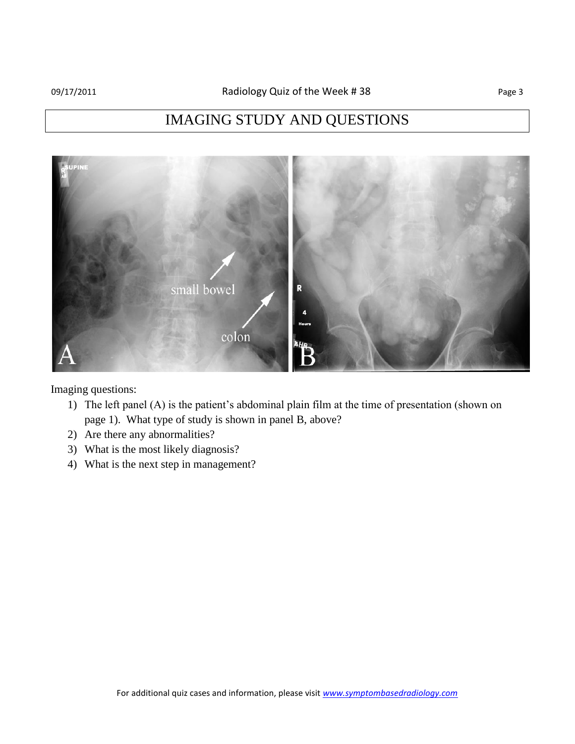## IMAGING STUDY AND QUESTIONS



Imaging questions:

- 1) The left panel (A) is the patient's abdominal plain film at the time of presentation (shown on page 1). What type of study is shown in panel B, above?
- 2) Are there any abnormalities?
- 3) What is the most likely diagnosis?
- 4) What is the next step in management?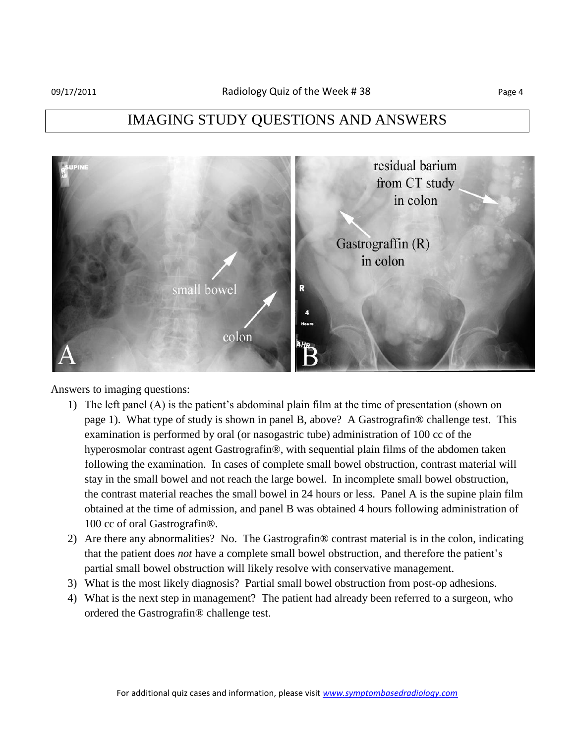### IMAGING STUDY QUESTIONS AND ANSWERS



Answers to imaging questions:

- 1) The left panel (A) is the patient's abdominal plain film at the time of presentation (shown on page 1). What type of study is shown in panel B, above? A Gastrografin® challenge test. This examination is performed by oral (or nasogastric tube) administration of 100 cc of the hyperosmolar contrast agent Gastrografin®, with sequential plain films of the abdomen taken following the examination. In cases of complete small bowel obstruction, contrast material will stay in the small bowel and not reach the large bowel. In incomplete small bowel obstruction, the contrast material reaches the small bowel in 24 hours or less. Panel A is the supine plain film obtained at the time of admission, and panel B was obtained 4 hours following administration of 100 cc of oral Gastrografin®.
- 2) Are there any abnormalities? No. The Gastrografin® contrast material is in the colon, indicating that the patient does *not* have a complete small bowel obstruction, and therefore the patient's partial small bowel obstruction will likely resolve with conservative management.
- 3) What is the most likely diagnosis? Partial small bowel obstruction from post-op adhesions.
- 4) What is the next step in management? The patient had already been referred to a surgeon, who ordered the Gastrografin® challenge test.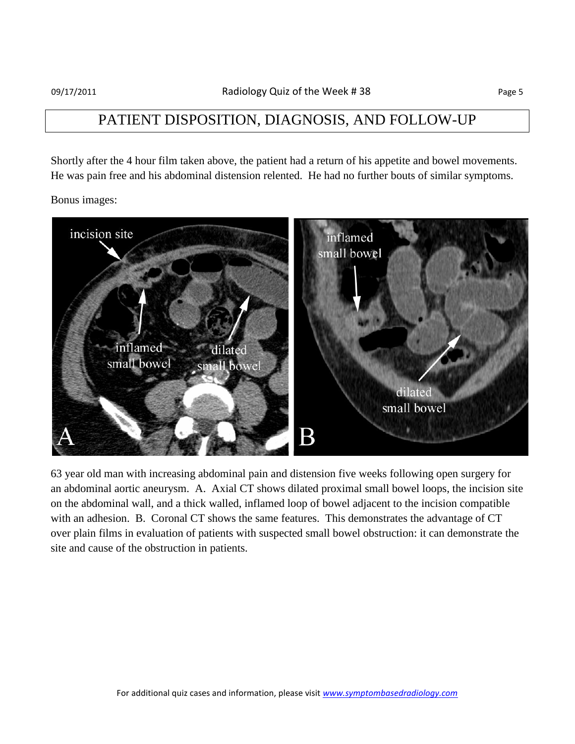#### PATIENT DISPOSITION, DIAGNOSIS, AND FOLLOW-UP

Shortly after the 4 hour film taken above, the patient had a return of his appetite and bowel movements. He was pain free and his abdominal distension relented. He had no further bouts of similar symptoms.

Bonus images:



63 year old man with increasing abdominal pain and distension five weeks following open surgery for an abdominal aortic aneurysm. A. Axial CT shows dilated proximal small bowel loops, the incision site on the abdominal wall, and a thick walled, inflamed loop of bowel adjacent to the incision compatible with an adhesion. B. Coronal CT shows the same features. This demonstrates the advantage of CT over plain films in evaluation of patients with suspected small bowel obstruction: it can demonstrate the site and cause of the obstruction in patients.